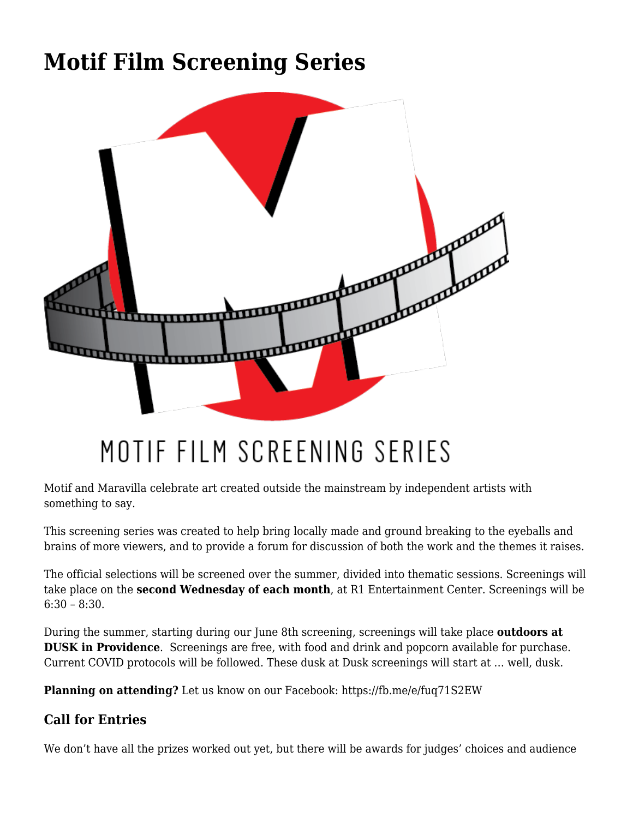## **[Motif Film Screening Series](https://motifri.com/motif-film-screening-series/)**



## MOTIF FILM SCREENING SERIES

Motif and Maravilla celebrate art created outside the mainstream by independent artists with something to say.

This screening series was created to help bring locally made and ground breaking to the eyeballs and brains of more viewers, and to provide a forum for discussion of both the work and the themes it raises.

The official selections will be screened over the summer, divided into thematic sessions. Screenings will take place on the **second Wednesday of each month**, at [R1 Entertainment Center.](https://www.google.com/maps/place/R1+Indoor+Karting+ft.+TimeZone,+Axes+%26+Darts/@41.8861607,-71.4088787,15z/data=!4m5!3m4!1s0x0:0x8a6c68c74c608d69!8m2!3d41.8861607!4d-71.4088787) Screenings will be  $6:30 - 8:30$ .

During the summer, starting during our June 8th screening, screenings will take place **outdoors at [DUSK](https://www.google.com/maps/place/Dusk/@41.8258972,-71.4301361,15z/data=!4m5!3m4!1s0x0:0xdd84d3ea70a0d40e!8m2!3d41.8258852!4d-71.4301211) in Providence**. Screenings are free, with food and drink and popcorn available for purchase. Current COVID protocols will be followed. These dusk at Dusk screenings will start at … well, dusk.

**Planning on attending?** Let us know on our Facebook: <https://fb.me/e/fuq71S2EW>

## **Call for Entries**

We don't have all the prizes worked out yet, but there will be awards for judges' choices and audience